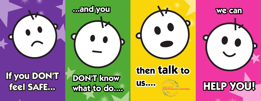## **If you DON'T feel SAFE...**

## **DON'T know what to do....**

**...and you**

# **then talk to**





**we can**